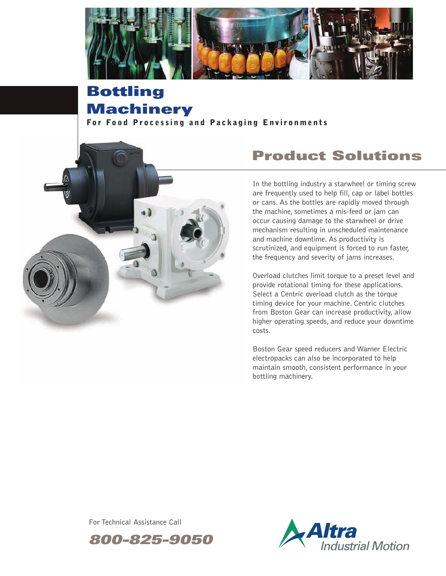

# **Bottling Machinery**

**For Food Processing and Packaging Environments** 



# **Product Solutions**

In the bottling industry a starwheel or timing screw are frequently used to help fill, cap or label bottles or cans. As the bottles are rapidly moved through the machine, sometimes a mis-feed or jam can occur causing damage to the starwheel or drive mechanism resulting in unscheduled maintenance and machine downtime. As productivity is scrutinized, and equipment is forced to run faster, the frequency and severity of jams increases.

Overload clutches limit torque to a preset level and provide rotational timing for these applications. Select a Centric overload clutch as the torque timing device for your machine. Centric clutches from Boston Gear can increase productivity, allow higher operating speeds, and reduce your downtime costs.

Boston Gear speed reducers and Warner Electric electropacks can also be incorporated to help maintain smooth, consistent performance in your bottling machinery.

For Technical Assistance Call